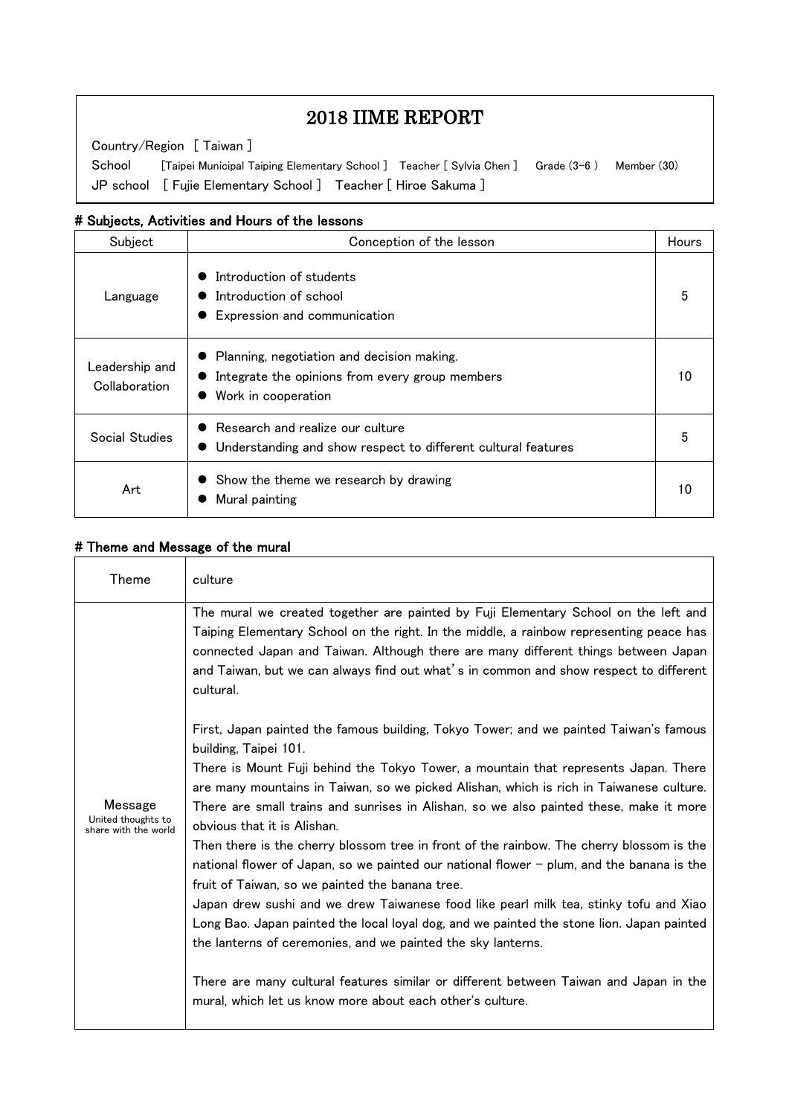# 2018 IIME REPORT

Country/Region [ Taiwan ]

 $\overline{\phantom{a}}$  $\overline{\phantom{a}}$  $\overline{\phantom{a}}$  $\overline{\phantom{a}}$ 

 $\overline{a}$ 

 JP school [ Fujie Elementary School ] Teacher [ Hiroe Sakuma ]School [Taipei Municipal Taiping Elementary School ] Teacher [Sylvia Chen ] Grade (3-6) Member (30)

### # Subjects, Activities and Hours of the lessons

| Subject                         | Conception of the lesson                                                                                             | <b>Hours</b> |
|---------------------------------|----------------------------------------------------------------------------------------------------------------------|--------------|
| Language                        | Introduction of students<br>Introduction of school<br>Expression and communication                                   | 5            |
| Leadership and<br>Collaboration | Planning, negotiation and decision making.<br>Integrate the opinions from every group members<br>Work in cooperation | 10           |
| Social Studies                  | Research and realize our culture<br>Understanding and show respect to different cultural features                    |              |
| Art                             | Show the theme we research by drawing<br>Mural painting                                                              | 10           |

### # Theme and Message of the mural

| <b>Theme</b>                                          | culture                                                                                                                                                                                                                                                                                                                                                                                                                                                                                                                                                                                                                                                                                                                                                                                                                                                                                                                                                                                          |
|-------------------------------------------------------|--------------------------------------------------------------------------------------------------------------------------------------------------------------------------------------------------------------------------------------------------------------------------------------------------------------------------------------------------------------------------------------------------------------------------------------------------------------------------------------------------------------------------------------------------------------------------------------------------------------------------------------------------------------------------------------------------------------------------------------------------------------------------------------------------------------------------------------------------------------------------------------------------------------------------------------------------------------------------------------------------|
| Message<br>United thoughts to<br>share with the world | The mural we created together are painted by Fuji Elementary School on the left and<br>Taiping Elementary School on the right. In the middle, a rainbow representing peace has<br>connected Japan and Taiwan. Although there are many different things between Japan<br>and Taiwan, but we can always find out what's in common and show respect to different<br>cultural.<br>First, Japan painted the famous building, Tokyo Tower; and we painted Taiwan's famous<br>building, Taipei 101.<br>There is Mount Fuji behind the Tokyo Tower, a mountain that represents Japan. There<br>are many mountains in Taiwan, so we picked Alishan, which is rich in Taiwanese culture.<br>There are small trains and sunrises in Alishan, so we also painted these, make it more<br>obvious that it is Alishan.<br>Then there is the cherry blossom tree in front of the rainbow. The cherry blossom is the<br>national flower of Japan, so we painted our national flower - plum, and the banana is the |
|                                                       | fruit of Taiwan, so we painted the banana tree.<br>Japan drew sushi and we drew Taiwanese food like pearl milk tea, stinky tofu and Xiao<br>Long Bao. Japan painted the local loyal dog, and we painted the stone lion. Japan painted<br>the lanterns of ceremonies, and we painted the sky lanterns.<br>There are many cultural features similar or different between Taiwan and Japan in the<br>mural, which let us know more about each other's culture.                                                                                                                                                                                                                                                                                                                                                                                                                                                                                                                                      |
|                                                       |                                                                                                                                                                                                                                                                                                                                                                                                                                                                                                                                                                                                                                                                                                                                                                                                                                                                                                                                                                                                  |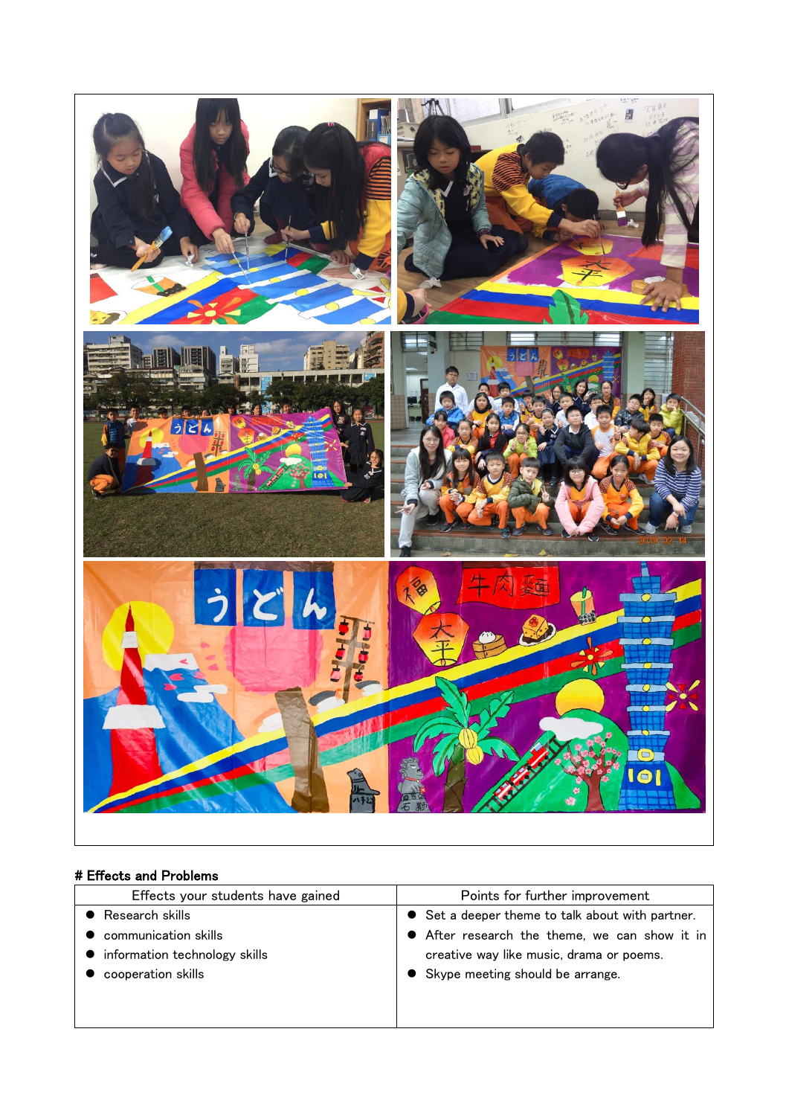

## # Effects and Problems

| Effects your students have gained | Points for further improvement                   |  |
|-----------------------------------|--------------------------------------------------|--|
| Research skills                   | • Set a deeper theme to talk about with partner. |  |
| communication skills              | • After research the theme, we can show it in    |  |
| information technology skills     | creative way like music, drama or poems.         |  |
| cooperation skills                | • Skype meeting should be arrange.               |  |
|                                   |                                                  |  |
|                                   |                                                  |  |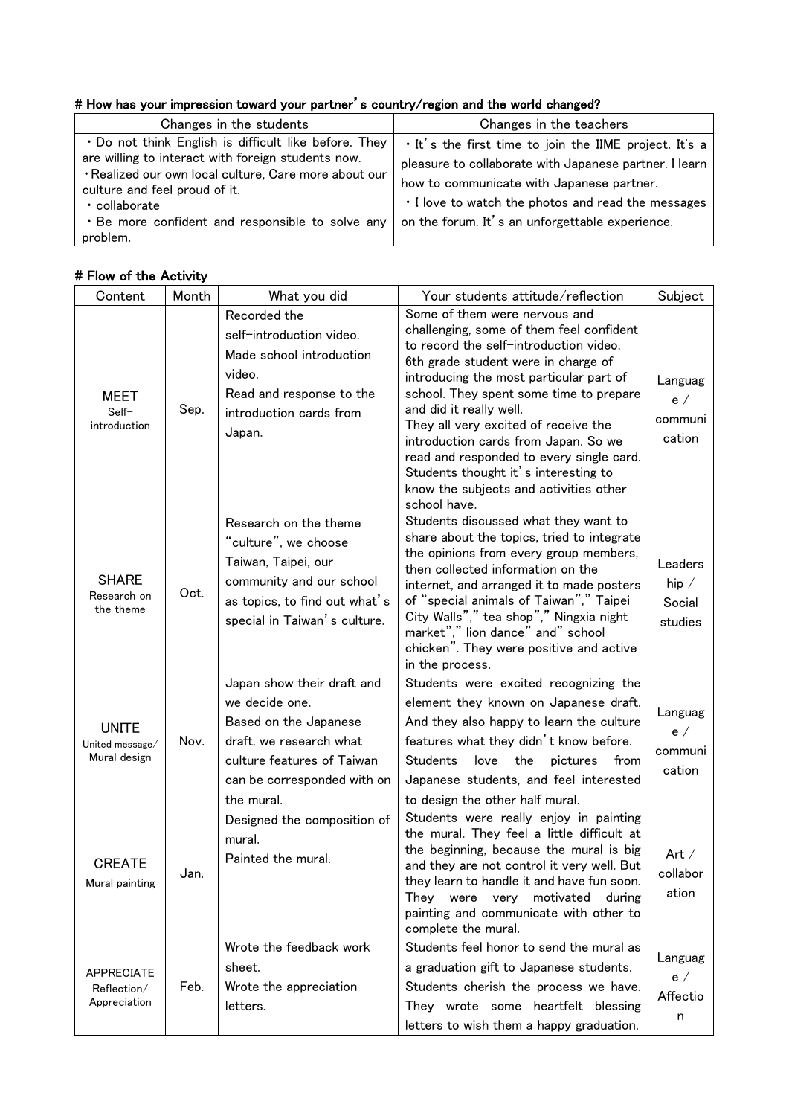# # How has your impression toward your partner's country/region and the world changed?

| Changes in the students                                                                                                                                                                                                                                                                | Changes in the teachers                                                                                                                                                                                                                                                |
|----------------------------------------------------------------------------------------------------------------------------------------------------------------------------------------------------------------------------------------------------------------------------------------|------------------------------------------------------------------------------------------------------------------------------------------------------------------------------------------------------------------------------------------------------------------------|
| . Do not think English is difficult like before. They<br>are willing to interact with foreign students now.<br>· Realized our own local culture, Care more about our<br>culture and feel proud of it.<br>• collaborate<br>. Be more confident and responsible to solve any<br>problem. | . It's the first time to join the IIME project. It's a<br>pleasure to collaborate with Japanese partner. I learn<br>how to communicate with Japanese partner.<br>. I love to watch the photos and read the messages<br>on the forum. It's an unforgettable experience. |

# # Flow of the Activity

| Content                                          | Month | What you did                                                                                                                                                                | Your students attitude/reflection                                                                                                                                                                                                                                                                                                                                                                                                                                                                         | Subject                                      |
|--------------------------------------------------|-------|-----------------------------------------------------------------------------------------------------------------------------------------------------------------------------|-----------------------------------------------------------------------------------------------------------------------------------------------------------------------------------------------------------------------------------------------------------------------------------------------------------------------------------------------------------------------------------------------------------------------------------------------------------------------------------------------------------|----------------------------------------------|
| MEET<br>Self-<br>introduction                    | Sep.  | Recorded the<br>self-introduction video.<br>Made school introduction<br>video.<br>Read and response to the<br>introduction cards from<br>Japan.                             | Some of them were nervous and<br>challenging, some of them feel confident<br>to record the self-introduction video.<br>6th grade student were in charge of<br>introducing the most particular part of<br>school. They spent some time to prepare<br>and did it really well.<br>They all very excited of receive the<br>introduction cards from Japan. So we<br>read and responded to every single card.<br>Students thought it's interesting to<br>know the subjects and activities other<br>school have. | Languag<br>e /<br>communi<br>cation          |
| <b>SHARE</b><br>Research on<br>the theme         | Oct.  | Research on the theme<br>"culture", we choose<br>Taiwan, Taipei, our<br>community and our school<br>as topics, to find out what's<br>special in Taiwan's culture.           | Students discussed what they want to<br>share about the topics, tried to integrate<br>the opinions from every group members,<br>then collected information on the<br>internet, and arranged it to made posters<br>of "special animals of Taiwan"," Taipei<br>City Walls"," tea shop"," Ningxia night<br>market"," lion dance" and" school<br>chicken". They were positive and active<br>in the process.                                                                                                   | Leaders<br>hip $\angle$<br>Social<br>studies |
| <b>UNITE</b><br>United message/<br>Mural design  | Nov.  | Japan show their draft and<br>we decide one.<br>Based on the Japanese<br>draft, we research what<br>culture features of Taiwan<br>can be corresponded with on<br>the mural. | Students were excited recognizing the<br>element they known on Japanese draft.<br>And they also happy to learn the culture<br>features what they didn't know before.<br><b>Students</b><br>love<br>the<br>pictures<br>from<br>Japanese students, and feel interested<br>to design the other half mural.                                                                                                                                                                                                   | Languag<br>e /<br>communi<br>cation          |
| <b>CREATE</b><br>Mural painting                  | Jan.  | Designed the composition of<br>mural.<br>Painted the mural.                                                                                                                 | Students were really enjoy in painting<br>the mural. They feel a little difficult at<br>the beginning, because the mural is big<br>and they are not control it very well. But<br>they learn to handle it and have fun soon.<br>motivated<br>They<br>during<br>were<br>very<br>painting and communicate with other to<br>complete the mural.                                                                                                                                                               | Art $/$<br>collabor<br>ation                 |
| <b>APPRECIATE</b><br>Reflection/<br>Appreciation | Feb.  | Wrote the feedback work<br>sheet.<br>Wrote the appreciation<br>letters.                                                                                                     | Students feel honor to send the mural as<br>a graduation gift to Japanese students.<br>Students cherish the process we have.<br>They wrote some heartfelt blessing<br>letters to wish them a happy graduation.                                                                                                                                                                                                                                                                                            | Languag<br>e /<br>Affectio<br>n              |